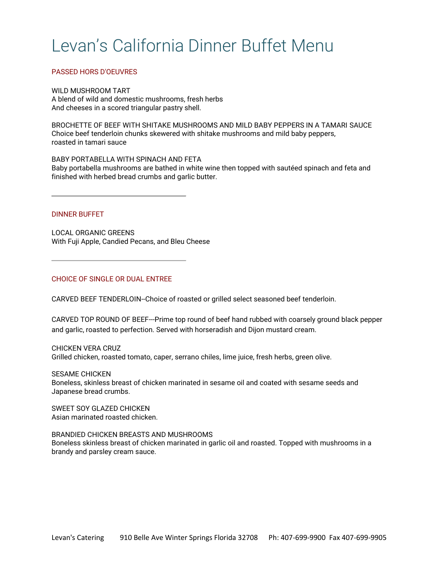# Levan's California Dinner Buffet Menu

## PASSED HORS D'OEUVRES

WILD MUSHROOM TART A blend of wild and domestic mushrooms, fresh herbs And cheeses in a scored triangular pastry shell.

BROCHETTE OF BEEF WITH SHITAKE MUSHROOMS AND MILD BABY PEPPERS IN A TAMARI SAUCE Choice beef tenderloin chunks skewered with shitake mushrooms and mild baby peppers, roasted in tamari sauce

BABY PORTABELLA WITH SPINACH AND FETA Baby portabella mushrooms are bathed in white wine then topped with sautéed spinach and feta and finished with herbed bread crumbs and garlic butter.

DINNER BUFFET

LOCAL ORGANIC GREENS With Fuji Apple, Candied Pecans, and Bleu Cheese

CHOICE OF SINGLE OR DUAL ENTREE

CARVED BEEF TENDERLOIN--Choice of roasted or grilled select seasoned beef tenderloin.

CARVED TOP ROUND OF BEEF---Prime top round of beef hand rubbed with coarsely ground black pepper and garlic, roasted to perfection. Served with horseradish and Dijon mustard cream.

CHICKEN VERA CRUZ Grilled chicken, roasted tomato, caper, serrano chiles, lime juice, fresh herbs, green olive.

SESAME CHICKEN Boneless, skinless breast of chicken marinated in sesame oil and coated with sesame seeds and Japanese bread crumbs.

SWEET SOY GLAZED CHICKEN Asian marinated roasted chicken.

### BRANDIED CHICKEN BREASTS AND MUSHROOMS

Boneless skinless breast of chicken marinated in garlic oil and roasted. Topped with mushrooms in a brandy and parsley cream sauce.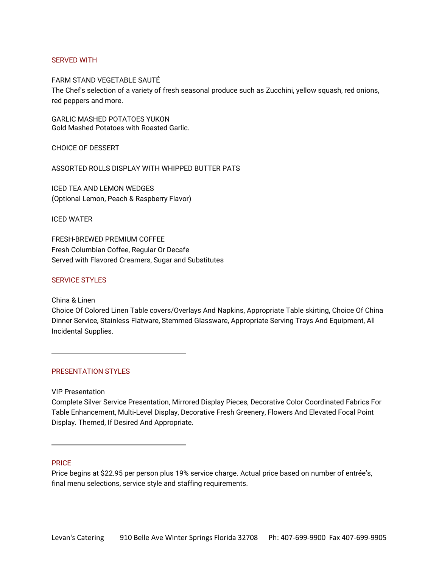## SERVED WITH

#### FARM STAND VEGETABLE SAUTÉ

The Chef's selection of a variety of fresh seasonal produce such as Zucchini, yellow squash, red onions, red peppers and more.

GARLIC MASHED POTATOES YUKON Gold Mashed Potatoes with Roasted Garlic.

CHOICE OF DESSERT

ASSORTED ROLLS DISPLAY WITH WHIPPED BUTTER PATS

ICED TEA AND LEMON WEDGES (Optional Lemon, Peach & Raspberry Flavor)

ICED WATER

FRESH-BREWED PREMIUM COFFEE Fresh Columbian Coffee, Regular Or Decafe Served with Flavored Creamers, Sugar and Substitutes

### SERVICE STYLES

China & Linen

Choice Of Colored Linen Table covers/Overlays And Napkins, Appropriate Table skirting, Choice Of China Dinner Service, Stainless Flatware, Stemmed Glassware, Appropriate Serving Trays And Equipment, All Incidental Supplies.

# PRESENTATION STYLES

VIP Presentation

Complete Silver Service Presentation, Mirrored Display Pieces, Decorative Color Coordinated Fabrics For Table Enhancement, Multi-Level Display, Decorative Fresh Greenery, Flowers And Elevated Focal Point Display. Themed, If Desired And Appropriate.

#### PRICE

Price begins at \$22.95 per person plus 19% service charge. Actual price based on number of entrée's, final menu selections, service style and staffing requirements.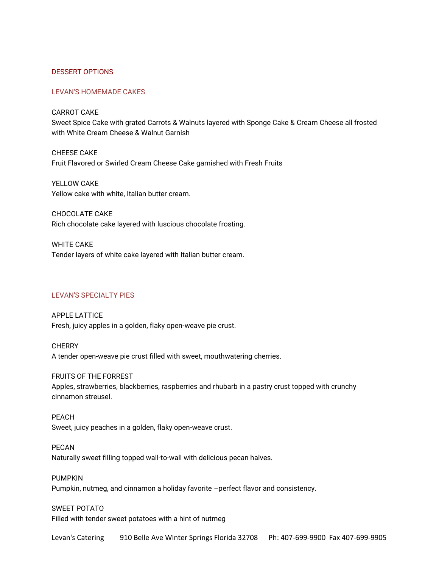## DESSERT OPTIONS

## LEVAN'S HOMEMADE CAKES

CARROT CAKE Sweet Spice Cake with grated Carrots & Walnuts layered with Sponge Cake & Cream Cheese all frosted with White Cream Cheese & Walnut Garnish

CHEESE CAKE Fruit Flavored or Swirled Cream Cheese Cake garnished with Fresh Fruits

YELLOW CAKE Yellow cake with white, Italian butter cream.

CHOCOLATE CAKE Rich chocolate cake layered with luscious chocolate frosting.

WHITE CAKE Tender layers of white cake layered with Italian butter cream.

## LEVAN'S SPECIALTY PIES

APPLE LATTICE Fresh, juicy apples in a golden, flaky open-weave pie crust.

**CHERRY** A tender open-weave pie crust filled with sweet, mouthwatering cherries.

FRUITS OF THE FORREST Apples, strawberries, blackberries, raspberries and rhubarb in a pastry crust topped with crunchy cinnamon streusel.

PEACH Sweet, juicy peaches in a golden, flaky open-weave crust.

PECAN Naturally sweet filling topped wall-to-wall with delicious pecan halves.

PUMPKIN Pumpkin, nutmeg, and cinnamon a holiday favorite –perfect flavor and consistency.

SWEET POTATO Filled with tender sweet potatoes with a hint of nutmeg